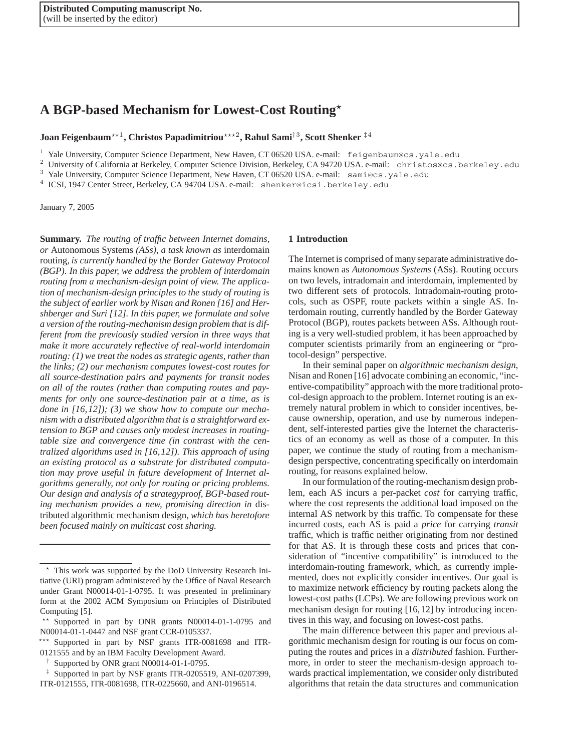# **A BGP-based Mechanism for Lowest-Cost Routing**

**Joan Feigenbaum**1**, Christos Papadimitriou**2**, Rahul Sami**†3**, Scott Shenker** ‡<sup>4</sup>

<sup>1</sup> Yale University, Computer Science Department, New Haven, CT 06520 USA. e-mail: feigenbaum@cs.yale.edu

<sup>2</sup> University of California at Berkeley, Computer Science Division, Berkeley, CA 94720 USA. e-mail: christos@cs.berkeley.edu

<sup>3</sup> Yale University, Computer Science Department, New Haven, CT 06520 USA. e-mail: sami@cs.yale.edu

<sup>4</sup> ICSI, 1947 Center Street, Berkeley, CA 94704 USA. e-mail: shenker@icsi.berkeley.edu

January 7, 2005

**Summary.** *The routing of traffic between Internet domains, or* Autonomous Systems *(ASs), a task known as* interdomain routing*, is currently handled by the Border Gateway Protocol (BGP). In this paper, we address the problem of interdomain routing from a mechanism-design point of view. The application of mechanism-design principles to the study of routing is the subject of earlier work by Nisan and Ronen [16] and Hershberger and Suri [12]. In this paper, we formulate and solve a version of the routing-mechanism design problem that is different from the previously studied version in three ways that make it more accurately reflective of real-world interdomain routing: (1) we treat the nodes as strategic agents, rather than the links; (2) our mechanism computes lowest-cost routes for all source-destination pairs and payments for transit nodes on all of the routes (rather than computing routes and payments for only one source-destination pair at a time, as is done in [16,12]); (3) we show how to compute our mechanism with a distributed algorithm that is a straightforward extension to BGP and causes only modest increases in routingtable size and convergence time (in contrast with the centralized algorithms used in [16,12]). This approach of using an existing protocol as a substrate for distributed computation may prove useful in future development of Internet algorithms generally, not only for routing or pricing problems. Our design and analysis of a strategyproof, BGP-based routing mechanism provides a new, promising direction in* distributed algorithmic mechanism design*, which has heretofore been focused mainly on multicast cost sharing.*

## **1 Introduction**

The Internet is comprised of many separate administrative domains known as *Autonomous Systems* (ASs). Routing occurs on two levels, intradomain and interdomain, implemented by two different sets of protocols. Intradomain-routing protocols, such as OSPF, route packets within a single AS. Interdomain routing, currently handled by the Border Gateway Protocol (BGP), routes packets between ASs. Although routing is a very well-studied problem, it has been approached by computer scientists primarily from an engineering or "protocol-design" perspective.

In their seminal paper on *algorithmic mechanism design*, Nisan and Ronen [16] advocate combining an economic, "incentive-compatibility" approach with the more traditional protocol-design approach to the problem. Internet routing is an extremely natural problem in which to consider incentives, because ownership, operation, and use by numerous independent, self-interested parties give the Internet the characteristics of an economy as well as those of a computer. In this paper, we continue the study of routing from a mechanismdesign perspective, concentrating specifically on interdomain routing, for reasons explained below.

In our formulation of the routing-mechanism design problem, each AS incurs a per-packet *cost* for carrying traffic, where the cost represents the additional load imposed on the internal AS network by this traffic. To compensate for these incurred costs, each AS is paid a *price* for carrying *transit* traffic, which is traffic neither originating from nor destined for that AS. It is through these costs and prices that consideration of "incentive compatibility" is introduced to the interdomain-routing framework, which, as currently implemented, does not explicitly consider incentives. Our goal is to maximize network efficiency by routing packets along the lowest-cost paths (LCPs). We are following previous work on mechanism design for routing [16,12] by introducing incentives in this way, and focusing on lowest-cost paths.

The main difference between this paper and previous algorithmic mechanism design for routing is our focus on computing the routes and prices in a *distributed* fashion. Furthermore, in order to steer the mechanism-design approach towards practical implementation, we consider only distributed algorithms that retain the data structures and communication

This work was supported by the DoD University Research Initiative (URI) program administered by the Office of Naval Research under Grant N00014-01-1-0795. It was presented in preliminary form at the 2002 ACM Symposium on Principles of Distributed Computing [5].

Supported in part by ONR grants N00014-01-1-0795 and N00014-01-1-0447 and NSF grant CCR-0105337.

Supported in part by NSF grants ITR-0081698 and ITR-0121555 and by an IBM Faculty Development Award.

Supported by ONR grant N00014-01-1-0795.

<sup>&</sup>lt;sup>‡</sup> Supported in part by NSF grants ITR-0205519, ANI-0207399, ITR-0121555, ITR-0081698, ITR-0225660, and ANI-0196514.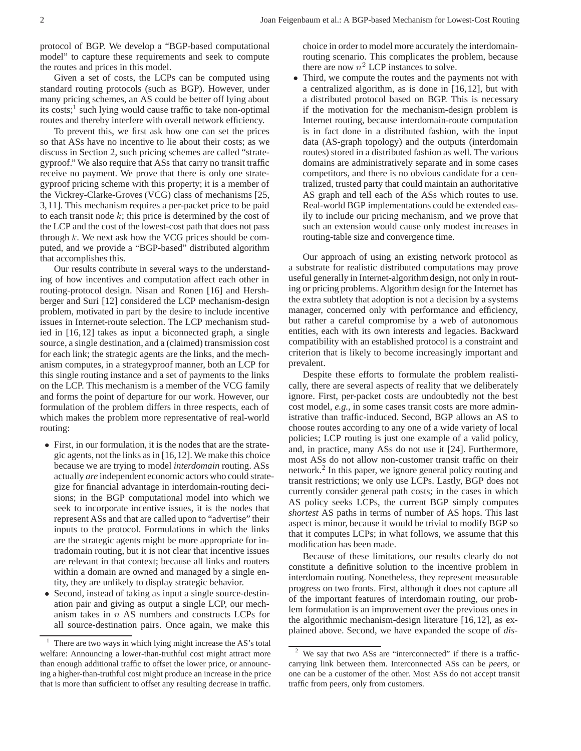protocol of BGP. We develop a "BGP-based computational model" to capture these requirements and seek to compute the routes and prices in this model.

Given a set of costs, the LCPs can be computed using standard routing protocols (such as BGP). However, under many pricing schemes, an AS could be better off lying about its  $costs$ ; such lying would cause traffic to take non-optimal routes and thereby interfere with overall network efficiency.

To prevent this, we first ask how one can set the prices so that ASs have no incentive to lie about their costs; as we discuss in Section 2, such pricing schemes are called "strategyproof." We also require that ASs that carry no transit traffic receive no payment. We prove that there is only one strategyproof pricing scheme with this property; it is a member of the Vickrey-Clarke-Groves (VCG) class of mechanisms [25, 3,11]. This mechanism requires a per-packet price to be paid to each transit node  $k$ ; this price is determined by the cost of the LCP and the cost of the lowest-cost path that does not pass through  $k$ . We next ask how the VCG prices should be computed, and we provide a "BGP-based" distributed algorithm that accomplishes this.

Our results contribute in several ways to the understanding of how incentives and computation affect each other in routing-protocol design. Nisan and Ronen [16] and Hershberger and Suri [12] considered the LCP mechanism-design problem, motivated in part by the desire to include incentive issues in Internet-route selection. The LCP mechanism studied in [16,12] takes as input a biconnected graph, a single source, a single destination, and a (claimed) transmission cost for each link; the strategic agents are the links, and the mechanism computes, in a strategyproof manner, both an LCP for this single routing instance and a set of payments to the links on the LCP. This mechanism is a member of the VCG family and forms the point of departure for our work. However, our formulation of the problem differs in three respects, each of which makes the problem more representative of real-world routing:

- First, in our formulation, it is the nodes that are the strategic agents, not the links as in [16,12].We make this choice because we are trying to model *interdomain* routing. ASs actually *are* independent economic actors who could strategize for financial advantage in interdomain-routing decisions; in the BGP computational model into which we seek to incorporate incentive issues, it is the nodes that represent ASs and that are called upon to "advertise" their inputs to the protocol. Formulations in which the links are the strategic agents might be more appropriate for intradomain routing, but it is not clear that incentive issues are relevant in that context; because all links and routers within a domain are owned and managed by a single entity, they are unlikely to display strategic behavior.
- Second, instead of taking as input a single source-destination pair and giving as output a single LCP, our mechanism takes in  $n$  AS numbers and constructs LCPs for all source-destination pairs. Once again, we make this

choice in order to model more accurately the interdomainrouting scenario. This complicates the problem, because there are now  $n^2$  LCP instances to solve.

• Third, we compute the routes and the payments not with a centralized algorithm, as is done in [16,12], but with a distributed protocol based on BGP. This is necessary if the motivation for the mechanism-design problem is Internet routing, because interdomain-route computation is in fact done in a distributed fashion, with the input data (AS-graph topology) and the outputs (interdomain routes) stored in a distributed fashion as well. The various domains are administratively separate and in some cases competitors, and there is no obvious candidate for a centralized, trusted party that could maintain an authoritative AS graph and tell each of the ASs which routes to use. Real-world BGP implementations could be extended easily to include our pricing mechanism, and we prove that such an extension would cause only modest increases in routing-table size and convergence time.

Our approach of using an existing network protocol as a substrate for realistic distributed computations may prove useful generally in Internet-algorithm design, not only in routing or pricing problems. Algorithm design for the Internet has the extra subtlety that adoption is not a decision by a systems manager, concerned only with performance and efficiency, but rather a careful compromise by a web of autonomous entities, each with its own interests and legacies. Backward compatibility with an established protocol is a constraint and criterion that is likely to become increasingly important and prevalent.

Despite these efforts to formulate the problem realistically, there are several aspects of reality that we deliberately ignore. First, per-packet costs are undoubtedly not the best cost model, *e.g.*, in some cases transit costs are more administrative than traffic-induced. Second, BGP allows an AS to choose routes according to any one of a wide variety of local policies; LCP routing is just one example of a valid policy, and, in practice, many ASs do not use it [24]. Furthermore, most ASs do not allow non-customer transit traffic on their network.<sup>2</sup> In this paper, we ignore general policy routing and transit restrictions; we only use LCPs. Lastly, BGP does not currently consider general path costs; in the cases in which AS policy seeks LCPs, the current BGP simply computes *shortest* AS paths in terms of number of AS hops. This last aspect is minor, because it would be trivial to modify BGP so that it computes LCPs; in what follows, we assume that this modification has been made.

Because of these limitations, our results clearly do not constitute a definitive solution to the incentive problem in interdomain routing. Nonetheless, they represent measurable progress on two fronts. First, although it does not capture all of the important features of interdomain routing, our problem formulation is an improvement over the previous ones in the algorithmic mechanism-design literature [16,12], as explained above. Second, we have expanded the scope of *dis-*

There are two ways in which lying might increase the AS's total welfare: Announcing a lower-than-truthful cost might attract more than enough additional traffic to offset the lower price, or announcing a higher-than-truthful cost might produce an increase in the price that is more than sufficient to offset any resulting decrease in traffic.

<sup>&</sup>lt;sup>2</sup> We say that two ASs are "interconnected" if there is a trafficcarrying link between them. Interconnected ASs can be *peers*, or one can be a customer of the other. Most ASs do not accept transit traffic from peers, only from customers.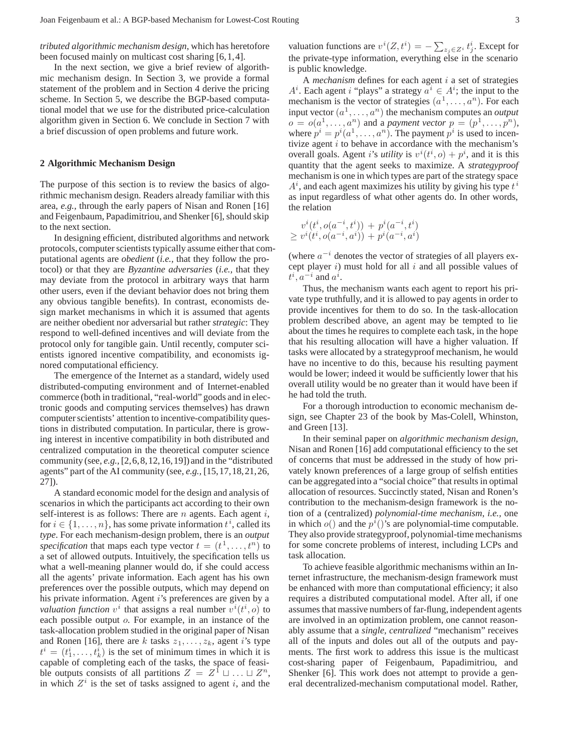*tributed algorithmic mechanism design*, which has heretofore been focused mainly on multicast cost sharing [6,1,4].

In the next section, we give a brief review of algorithmic mechanism design. In Section 3, we provide a formal statement of the problem and in Section 4 derive the pricing scheme. In Section 5, we describe the BGP-based computational model that we use for the distributed price-calculation algorithm given in Section 6. We conclude in Section 7 with a brief discussion of open problems and future work.

## **2 Algorithmic Mechanism Design**

The purpose of this section is to review the basics of algorithmic mechanism design. Readers already familiar with this area, *e.g.,* through the early papers of Nisan and Ronen [16] and Feigenbaum, Papadimitriou, and Shenker [6], should skip to the next section.

In designing efficient, distributed algorithms and network protocols, computer scientists typically assume either that computational agents are *obedient* (*i.e.,* that they follow the protocol) or that they are *Byzantine adversaries* (*i.e.,* that they may deviate from the protocol in arbitrary ways that harm other users, even if the deviant behavior does not bring them any obvious tangible benefits). In contrast, economists design market mechanisms in which it is assumed that agents are neither obedient nor adversarial but rather *strategic*: They respond to well-defined incentives and will deviate from the protocol only for tangible gain. Until recently, computer scientists ignored incentive compatibility, and economists ignored computational efficiency.

The emergence of the Internet as a standard, widely used distributed-computing environment and of Internet-enabled commerce (both in traditional, "real-world" goods and in electronic goods and computing services themselves) has drawn computer scientists' attention to incentive-compatibility questions in distributed computation. In particular, there is growing interest in incentive compatibility in both distributed and centralized computation in the theoretical computer science community (see, *e.g.,* [2,6,8,12,16,19]) and in the "distributed agents" part of the AI community (see, *e.g.,* [15,17,18,21,26, 27]).

A standard economic model for the design and analysis of scenarios in which the participants act according to their own self-interest is as follows: There are  $n$  agents. Each agent  $i$ , for  $i \in \{1, \ldots, n\}$ , has some private information  $t^i$ , called its *type*. For each mechanism-design problem, there is an *output specification* that maps each type vector  $t = (t^1, \ldots, t^n)$  to a set of allowed outputs. Intuitively, the specification tells us what a well-meaning planner would do, if she could access all the agents' private information. Each agent has his own preferences over the possible outputs, which may depend on his private information. Agent i's preferences are given by a *valuation function*  $v^i$  that assigns a real number  $v^i(t^i, o)$  to each possible output o. For example, in an instance of the task-allocation problem studied in the original paper of Nisan and Ronen [16], there are k tasks  $z_1, \ldots, z_k$ , agent i's type  $t^i = (t^i_1, \ldots, t^i_k)$  is the set of minimum times in which it is capable of completing each of the tasks, the space of feasible outputs consists of all partitions  $Z = Z^1 \sqcup \ldots \sqcup Z^n$ , in which  $Z<sup>i</sup>$  is the set of tasks assigned to agent i, and the

valuation functions are  $v^i(Z, t^i) = -\sum_{z_j \in Z^i} t^i_j$ . Except for the private-type information, everything else in the scenario is public knowledge.

A *mechanism* defines for each agent i a set of strategies  $A^i$ . Each agent i "plays" a strategy  $a^i \in A^i$ ; the input to the mechanism is the vector of strategies  $(a^1, \ldots, a^n)$ . For each input vector  $(a^1, \ldots, a^n)$  the mechanism computes an *output*  $o = o(a^1, \ldots, a^n)$  and a *payment vector*  $p = (p^1, \ldots, p^n)$ , where  $p^i = p^i(a^1, \ldots, a^n)$ . The payment  $p^i$  is used to incentivize agent  $i$  to behave in accordance with the mechanism's overall goals. Agent *i*'s *utility* is  $v^{i}(t^{i}, o) + p^{i}$ , and it is this quantity that the agent seeks to maximize. A *strategyproof* mechanism is one in which types are part of the strategy space  $A^i$ , and each agent maximizes his utility by giving his type  $t^i$ as input regardless of what other agents do. In other words, the relation

$$
v^{i}(t^{i}, o(a^{-i}, t^{i})) + p^{i}(a^{-i}, t^{i})
$$
  
\n
$$
\geq v^{i}(t^{i}, o(a^{-i}, a^{i})) + p^{i}(a^{-i}, a^{i})
$$

(where  $a^{-i}$  denotes the vector of strategies of all players except player  $i$ ) must hold for all  $i$  and all possible values of  $t^i$ ,  $a^{-i}$  and  $a^i$ .

Thus, the mechanism wants each agent to report his private type truthfully, and it is allowed to pay agents in order to provide incentives for them to do so. In the task-allocation problem described above, an agent may be tempted to lie about the times he requires to complete each task, in the hope that his resulting allocation will have a higher valuation. If tasks were allocated by a strategyproof mechanism, he would have no incentive to do this, because his resulting payment would be lower; indeed it would be sufficiently lower that his overall utility would be no greater than it would have been if he had told the truth.

For a thorough introduction to economic mechanism design, see Chapter 23 of the book by Mas-Colell, Whinston, and Green [13].

In their seminal paper on *algorithmic mechanism design*, Nisan and Ronen [16] add computational efficiency to the set of concerns that must be addressed in the study of how privately known preferences of a large group of selfish entities can be aggregated into a "social choice" that results in optimal allocation of resources. Succinctly stated, Nisan and Ronen's contribution to the mechanism-design framework is the notion of a (centralized) *polynomial-time mechanism*, *i.e.,* one in which  $o()$  and the  $p^i()$ 's are polynomial-time computable. They also provide strategyproof, polynomial-time mechanisms for some concrete problems of interest, including LCPs and task allocation.

To achieve feasible algorithmic mechanisms within an Internet infrastructure, the mechanism-design framework must be enhanced with more than computational efficiency; it also requires a distributed computational model. After all, if one assumes that massive numbers of far-flung, independent agents are involved in an optimization problem, one cannot reasonably assume that a *single, centralized* "mechanism" receives all of the inputs and doles out all of the outputs and payments. The first work to address this issue is the multicast cost-sharing paper of Feigenbaum, Papadimitriou, and Shenker [6]. This work does not attempt to provide a general decentralized-mechanism computational model. Rather,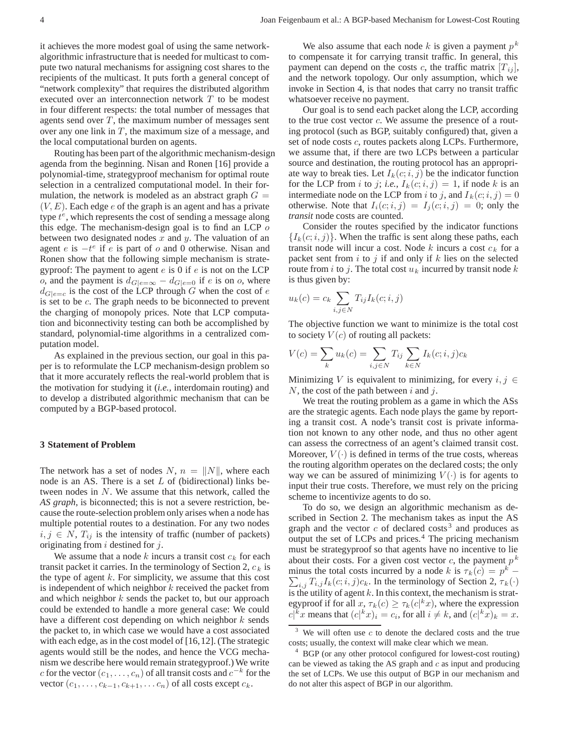it achieves the more modest goal of using the same networkalgorithmic infrastructure that is needed for multicast to compute two natural mechanisms for assigning cost shares to the recipients of the multicast. It puts forth a general concept of "network complexity" that requires the distributed algorithm executed over an interconnection network T to be modest in four different respects: the total number of messages that agents send over  $T$ , the maximum number of messages sent over any one link in  $T$ , the maximum size of a message, and the local computational burden on agents.

Routing has been part of the algorithmic mechanism-design agenda from the beginning. Nisan and Ronen [16] provide a polynomial-time, strategyproof mechanism for optimal route selection in a centralized computational model. In their formulation, the network is modeled as an abstract graph  $G =$  $(V, E)$ . Each edge e of the graph is an agent and has a private type  $t^e$ , which represents the cost of sending a message along this edge. The mechanism-design goal is to find an LCP o between two designated nodes  $x$  and  $y$ . The valuation of an agent e is  $-t^e$  if e is part of o and 0 otherwise. Nisan and Ronen show that the following simple mechanism is strategyproof: The payment to agent  $e$  is 0 if  $e$  is not on the LCP o, and the payment is  $d_{G|e=\infty} - d_{G|e=0}$  if e is on o, where  $d_{G|e=c}$  is the cost of the LCP through G when the cost of e is set to be c. The graph needs to be biconnected to prevent the charging of monopoly prices. Note that LCP computation and biconnectivity testing can both be accomplished by standard, polynomial-time algorithms in a centralized computation model.

As explained in the previous section, our goal in this paper is to reformulate the LCP mechanism-design problem so that it more accurately reflects the real-world problem that is the motivation for studying it (*i.e.,* interdomain routing) and to develop a distributed algorithmic mechanism that can be computed by a BGP-based protocol.

# **3 Statement of Problem**

The network has a set of nodes N,  $n = ||N||$ , where each node is an AS. There is a set  $L$  of (bidirectional) links between nodes in N. We assume that this network, called the *AS graph*, is biconnected; this is not a severe restriction, because the route-selection problem only arises when a node has multiple potential routes to a destination. For any two nodes  $i, j \in N$ ,  $T_{ij}$  is the intensity of traffic (number of packets) originating from  $i$  destined for  $j$ .

We assume that a node  $k$  incurs a transit cost  $c_k$  for each transit packet it carries. In the terminology of Section 2,  $c_k$  is the type of agent  $k$ . For simplicity, we assume that this cost is independent of which neighbor  $k$  received the packet from and which neighbor  $k$  sends the packet to, but our approach could be extended to handle a more general case: We could have a different cost depending on which neighbor  $k$  sends the packet to, in which case we would have a cost associated with each edge, as in the cost model of [16,12]. (The strategic agents would still be the nodes, and hence the VCG mechanism we describe here would remain strategyproof.) We write c for the vector  $(c_1,\ldots,c_n)$  of all transit costs and  $c^{-k}$  for the vector  $(c_1, \ldots, c_{k-1}, c_{k+1}, \ldots, c_n)$  of all costs except  $c_k$ .

We also assume that each node k is given a payment  $p^k$ to compensate it for carrying transit traffic. In general, this payment can depend on the costs c, the traffic matrix  $[T_{ij}]$ , and the network topology. Our only assumption, which we invoke in Section 4, is that nodes that carry no transit traffic whatsoever receive no payment.

Our goal is to send each packet along the LCP, according to the true cost vector  $c$ . We assume the presence of a routing protocol (such as BGP, suitably configured) that, given a set of node costs c, routes packets along LCPs. Furthermore, we assume that, if there are two LCPs between a particular source and destination, the routing protocol has an appropriate way to break ties. Let  $I_k(c; i, j)$  be the indicator function for the LCP from i to j; i.e.,  $I_k(c; i, j) = 1$ , if node k is an intermediate node on the LCP from i to j, and  $I_k(c; i, j)=0$ otherwise. Note that  $I_i(c; i, j) = I_j(c; i, j) = 0$ ; only the *transit* node costs are counted.

Consider the routes specified by the indicator functions  ${I_k(c;i, j)}$ . When the traffic is sent along these paths, each transit node will incur a cost. Node k incurs a cost  $c_k$  for a packet sent from  $i$  to  $j$  if and only if  $k$  lies on the selected route from i to j. The total cost  $u_k$  incurred by transit node k is thus given by:

$$
u_k(c) = c_k \sum_{i,j \in N} T_{ij} I_k(c;i,j)
$$

The objective function we want to minimize is the total cost to society  $V(c)$  of routing all packets:

$$
V(c) = \sum_{k} u_k(c) = \sum_{i,j \in N} T_{ij} \sum_{k \in N} I_k(c;i,j)c_k
$$

Minimizing V is equivalent to minimizing, for every  $i, j \in$  $N$ , the cost of the path between i and j.

We treat the routing problem as a game in which the ASs are the strategic agents. Each node plays the game by reporting a transit cost. A node's transit cost is private information not known to any other node, and thus no other agent can assess the correctness of an agent's claimed transit cost. Moreover,  $V(\cdot)$  is defined in terms of the true costs, whereas the routing algorithm operates on the declared costs; the only way we can be assured of minimizing  $V(\cdot)$  is for agents to input their true costs. Therefore, we must rely on the pricing scheme to incentivize agents to do so.

To do so, we design an algorithmic mechanism as described in Section 2. The mechanism takes as input the AS graph and the vector  $c$  of declared costs<sup>3</sup> and produces as output the set of LCPs and prices.<sup>4</sup> The pricing mechanism must be strategyproof so that agents have no incentive to lie about their costs. For a given cost vector c, the payment  $p^k$ minus the total costs incurred by a node k is  $\tau_k(c) = p^k$ .  $\sum_{i,j} T_{i,j} I_k(c;i,j)c_k$ . In the terminology of Section 2,  $\tau_k(\cdot)$ is the utility of agent  $k$ . In this context, the mechanism is strategyproof if for all  $x, \tau_k(c) \geq \tau_k(c|kx)$ , where the expression  $c_1^{k}$ x means that  $(c_1^{k}x)_i = c_i$ , for all  $i \neq k$ , and  $(c_1^{k}x)_k = x$ .

<sup>3</sup> We will often use *c* to denote the declared costs and the true costs; usually, the context will make clear which we mean.

<sup>&</sup>lt;sup>4</sup> BGP (or any other protocol configured for lowest-cost routing) can be viewed as taking the AS graph and *c* as input and producing the set of LCPs. We use this output of BGP in our mechanism and do not alter this aspect of BGP in our algorithm.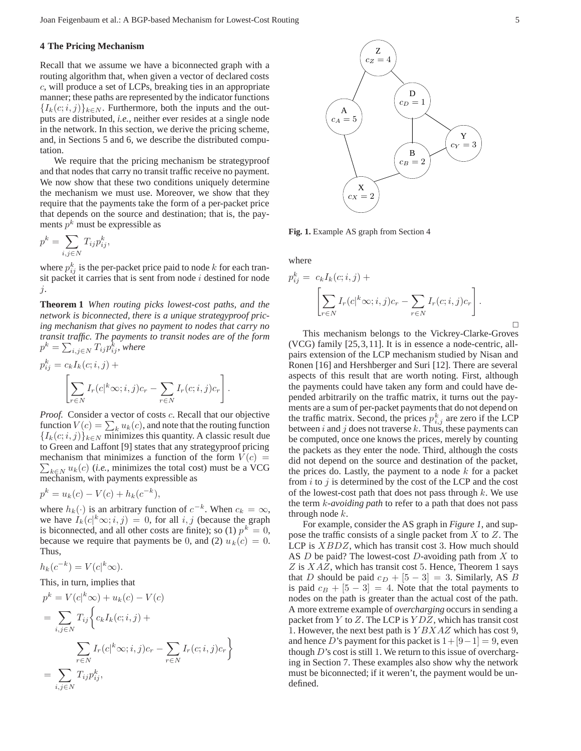## **4 The Pricing Mechanism**

Recall that we assume we have a biconnected graph with a routing algorithm that, when given a vector of declared costs c, will produce a set of LCPs, breaking ties in an appropriate manner; these paths are represented by the indicator functions  ${I_k(c;i, j)}_{k \in N}$ . Furthermore, both the inputs and the outputs are distributed, *i.e.*, neither ever resides at a single node in the network. In this section, we derive the pricing scheme, and, in Sections 5 and 6, we describe the distributed computation.

We require that the pricing mechanism be strategyproof and that nodes that carry no transit traffic receive no payment. We now show that these two conditions uniquely determine the mechanism we must use. Moreover, we show that they require that the payments take the form of a per-packet price that depends on the source and destination; that is, the payments  $p^k$  must be expressible as

$$
p^k = \sum_{i,j \in N} T_{ij} p_{ij}^k,
$$

where  $p_{ij}^k$  is the per-packet price paid to node k for each transit packet it carries that is sent from node  $i$  destined for node j.

**Theorem 1** *When routing picks lowest-cost paths, and the network is biconnected, there is a unique strategyproof pricing mechanism that gives no payment to nodes that carry no transit traffic. The payments to transit nodes are of the form*  $p^k = \sum_{i,j \in N}^{\infty} T_{ij} p_{ij}^k$  *, where* 

$$
p_{ij}^k = c_k I_k(c; i, j) +
$$

$$
\left[ \sum_{r \in N} I_r(c|^k \infty; i, j) c_r - \sum_{r \in N} I_r(c; i, j) c_r \right].
$$

*Proof.* Consider a vector of costs c. Recall that our objective function  $V(c) = \sum_k u_k(c)$ , and note that the routing function  ${I_k(c;i, j)}_{k \in N}$  minimizes this quantity. A classic result due to Green and Laffont [9] states that any strategyproof pricing  $\sum_{k \in \mathbb{N}} u_k(c)$  (*i.e.*, minimizes the total cost) must be a VCG mechanism that minimizes a function of the form  $V(c)$  = mechanism, with payments expressible as

$$
p^k = u_k(c) - V(c) + h_k(c^{-k}),
$$

where  $h_k(\cdot)$  is an arbitrary function of  $c^{-k}$ . When  $c_k = \infty$ , we have  $I_k(c|^k \infty; i, j) = 0$ , for all i, j (because the graph is biconnected, and all other costs are finite); so (1)  $p^k = 0$ , because we require that payments be 0, and (2)  $u_k(c)=0$ . Thus,

$$
h_k(c^{-k}) = V(c|^k \infty).
$$

This, in turn, implies that

$$
p^k = V(c|^k \infty) + u_k(c) - V(c)
$$
  
= 
$$
\sum_{i,j \in N} T_{ij} \Big\{ c_k I_k(c; i, j) +
$$
  

$$
\sum_{r \in N} I_r(c|^k \infty; i, j) c_r - \sum_{r \in N} I_r(c; i, j) c_r \Big\}
$$
  
= 
$$
\sum_{i,j \in N} T_{ij} p_{ij}^k,
$$



**Fig. 1.** Example AS graph from Section 4

where

$$
p_{ij}^k = c_k I_k(c; i, j) +
$$

$$
\left[ \sum_{r \in N} I_r(c|^k \infty; i, j) c_r - \sum_{r \in N} I_r(c; i, j) c_r \right].
$$

This mechanism belongs to the Vickrey-Clarke-Groves (VCG) family [25,3,11]. It is in essence a node-centric, allpairs extension of the LCP mechanism studied by Nisan and Ronen [16] and Hershberger and Suri [12]. There are several aspects of this result that are worth noting. First, although the payments could have taken any form and could have depended arbitrarily on the traffic matrix, it turns out the payments are a sum of per-packet payments that do not depend on the traffic matrix. Second, the prices  $p_{i,j}^k$  are zero if the LCP between  $i$  and  $j$  does not traverse  $k$ . Thus, these payments can be computed, once one knows the prices, merely by counting the packets as they enter the node. Third, although the costs did not depend on the source and destination of the packet, the prices do. Lastly, the payment to a node  $k$  for a packet from  $i$  to  $j$  is determined by the cost of the LCP and the cost of the lowest-cost path that does not pass through  $k$ . We use the term k-*avoiding path* to refer to a path that does not pass through node  $k$ .

For example, consider the AS graph in *Figure 1*, and suppose the traffic consists of a single packet from  $X$  to  $Z$ . The LCP is *XBDZ*, which has transit cost 3. How much should AS  $D$  be paid? The lowest-cost  $D$ -avoiding path from  $X$  to  $Z$  is  $XAZ$ , which has transit cost 5. Hence, Theorem 1 says that D should be paid  $c_D + [5 - 3] = 3$ . Similarly, AS B is paid  $c_B + [5 - 3] = 4$ . Note that the total payments to nodes on the path is greater than the actual cost of the path. A more extreme example of *overcharging* occurs in sending a packet from  $Y$  to  $Z$ . The LCP is  $YDZ$ , which has transit cost 1. However, the next best path is  $YBXAZ$  which has cost 9, and hence D's payment for this packet is  $1+[9-1] = 9$ , even though  $D$ 's cost is still 1. We return to this issue of overcharging in Section 7. These examples also show why the network must be biconnected; if it weren't, the payment would be undefined.

 $\Box$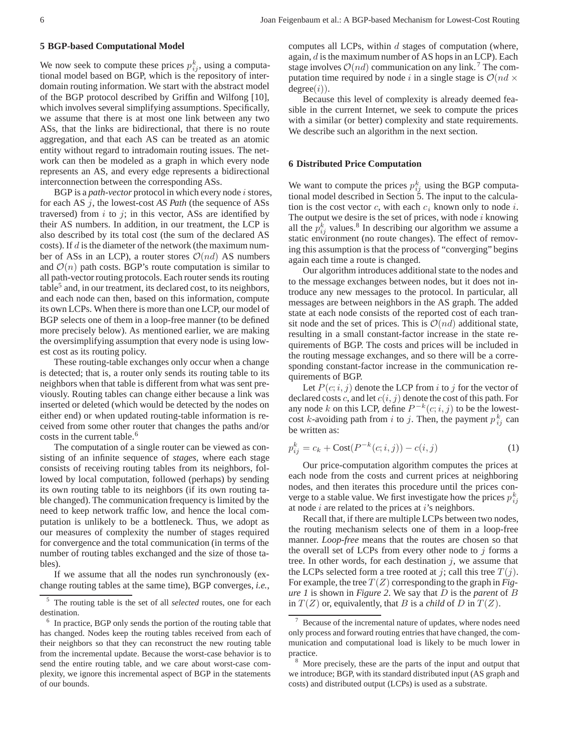## **5 BGP-based Computational Model**

We now seek to compute these prices  $p_{ij}^k$ , using a computational model based on BGP, which is the repository of interdomain routing information. We start with the abstract model of the BGP protocol described by Griffin and Wilfong [10], which involves several simplifying assumptions. Specifically, we assume that there is at most one link between any two ASs, that the links are bidirectional, that there is no route aggregation, and that each AS can be treated as an atomic entity without regard to intradomain routing issues. The network can then be modeled as a graph in which every node represents an AS, and every edge represents a bidirectional interconnection between the corresponding ASs.

BGP is a *path-vector* protocol in which every node *i* stores, for each AS j, the lowest-cost *AS Path* (the sequence of ASs traversed) from  $i$  to  $j$ ; in this vector, ASs are identified by their AS numbers. In addition, in our treatment, the LCP is also described by its total cost (the sum of the declared AS costs). If  $d$  is the diameter of the network (the maximum number of ASs in an LCP), a router stores  $\mathcal{O}(nd)$  AS numbers and  $\mathcal{O}(n)$  path costs. BGP's route computation is similar to all path-vector routing protocols. Each router sends its routing  $table<sup>5</sup>$  and, in our treatment, its declared cost, to its neighbors, and each node can then, based on this information, compute its own LCPs. When there is more than one LCP, our model of BGP selects one of them in a loop-free manner (to be defined more precisely below). As mentioned earlier, we are making the oversimplifying assumption that every node is using lowest cost as its routing policy.

These routing-table exchanges only occur when a change is detected; that is, a router only sends its routing table to its neighbors when that table is different from what was sent previously. Routing tables can change either because a link was inserted or deleted (which would be detected by the nodes on either end) or when updated routing-table information is received from some other router that changes the paths and/or costs in the current table.<sup>6</sup>

The computation of a single router can be viewed as consisting of an infinite sequence of *stages*, where each stage consists of receiving routing tables from its neighbors, followed by local computation, followed (perhaps) by sending its own routing table to its neighbors (if its own routing table changed). The communication frequency is limited by the need to keep network traffic low, and hence the local computation is unlikely to be a bottleneck. Thus, we adopt as our measures of complexity the number of stages required for convergence and the total communication (in terms of the number of routing tables exchanged and the size of those tables).

If we assume that all the nodes run synchronously (exchange routing tables at the same time), BGP converges, *i.e.*, computes all LCPs, within  $d$  stages of computation (where, again,  $d$  is the maximum number of AS hops in an LCP). Each stage involves  $\mathcal{O}(nd)$  communication on any link.<sup>7</sup> The computation time required by node i in a single stage is  $O(nd \times$  $degree(i)$ .

Because this level of complexity is already deemed feasible in the current Internet, we seek to compute the prices with a similar (or better) complexity and state requirements. We describe such an algorithm in the next section.

#### **6 Distributed Price Computation**

We want to compute the prices  $p_{ij}^k$  using the BGP computational model described in Section 5. The input to the calculation is the cost vector c, with each  $c_i$  known only to node i. The output we desire is the set of prices, with node  $i$  knowing all the  $p_{ij}^k$  values.<sup>8</sup> In describing our algorithm we assume a static environment (no route changes). The effect of removing this assumption is that the process of "converging" begins again each time a route is changed.

Our algorithm introduces additional state to the nodes and to the message exchanges between nodes, but it does not introduce any new messages to the protocol. In particular, all messages are between neighbors in the AS graph. The added state at each node consists of the reported cost of each transit node and the set of prices. This is  $\mathcal{O}(nd)$  additional state, resulting in a small constant-factor increase in the state requirements of BGP. The costs and prices will be included in the routing message exchanges, and so there will be a corresponding constant-factor increase in the communication requirements of BGP.

Let  $P(c; i, j)$  denote the LCP from i to j for the vector of declared costs c, and let  $c(i, j)$  denote the cost of this path. For any node k on this LCP, define  $P^{-k}(c;i,j)$  to be the lowestcost k-avoiding path from i to j. Then, the payment  $p_{ij}^k$  can be written as:

$$
p_{ij}^k = c_k + \text{Cost}(P^{-k}(c; i, j)) - c(i, j)
$$
 (1)

Our price-computation algorithm computes the prices at each node from the costs and current prices at neighboring nodes, and then iterates this procedure until the prices converge to a stable value. We first investigate how the prices  $p_{ij}^k$ at node  $i$  are related to the prices at  $i$ 's neighbors.

Recall that, if there are multiple LCPs between two nodes, the routing mechanism selects one of them in a loop-free manner. *Loop-free* means that the routes are chosen so that the overall set of LCPs from every other node to  $j$  forms a tree. In other words, for each destination  $j$ , we assume that the LCPs selected form a tree rooted at j; call this tree  $T(j)$ . For example, the tree  $T(Z)$  corresponding to the graph in *Figure 1* is shown in *Figure 2*. We say that D is the *parent* of B in  $T(Z)$  or, equivalently, that B is a *child* of D in  $T(Z)$ .

<sup>5</sup> The routing table is the set of all *selected* routes, one for each destination.

 $6\,$  In practice, BGP only sends the portion of the routing table that has changed. Nodes keep the routing tables received from each of their neighbors so that they can reconstruct the new routing table from the incremental update. Because the worst-case behavior is to send the entire routing table, and we care about worst-case complexity, we ignore this incremental aspect of BGP in the statements of our bounds.

Because of the incremental nature of updates, where nodes need only process and forward routing entries that have changed, the communication and computational load is likely to be much lower in practice.

<sup>8</sup> More precisely, these are the parts of the input and output that we introduce; BGP, with its standard distributed input (AS graph and costs) and distributed output (LCPs) is used as a substrate.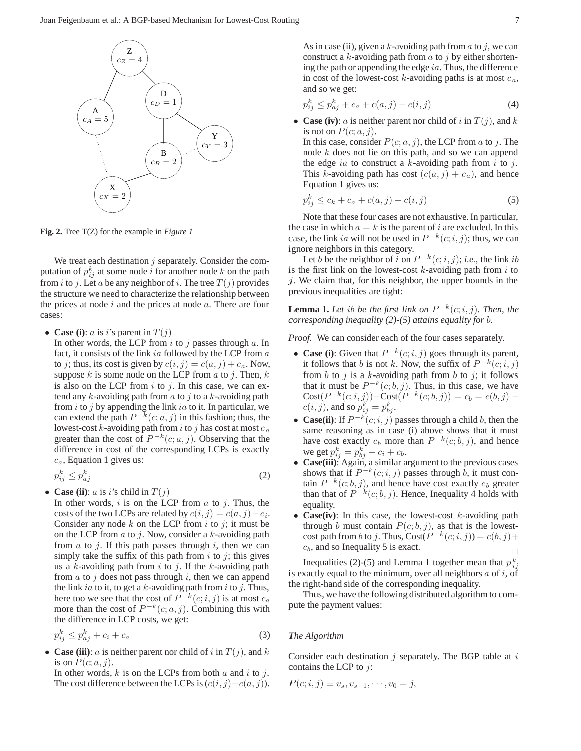

**Fig. 2.** Tree T(Z) for the example in *Figure 1*

We treat each destination  $j$  separately. Consider the computation of  $p_{ij}^k$  at some node i for another node k on the path from i to j. Let a be any neighbor of i. The tree  $T(j)$  provides the structure we need to characterize the relationship between the prices at node  $i$  and the prices at node  $a$ . There are four cases:

• **Case (i)**: *a* is *i*'s parent in  $T(j)$ 

In other words, the LCP from  $i$  to  $j$  passes through  $a$ . In fact, it consists of the link ia followed by the LCP from  $a$ to j; thus, its cost is given by  $c(i, j) = c(a, j) + c_a$ . Now, suppose k is some node on the LCP from  $a$  to  $j$ . Then,  $k$ is also on the LCP from  $i$  to  $j$ . In this case, we can extend any  $k$ -avoiding path from  $a$  to  $j$  to a  $k$ -avoiding path from  $i$  to  $j$  by appending the link  $ia$  to it. In particular, we can extend the path  $P^{-k}(c; a, j)$  in this fashion; thus, the lowest-cost k-avoiding path from i to j has cost at most  $c_a$ greater than the cost of  $P^{-k}(c; a, j)$ . Observing that the difference in cost of the corresponding LCPs is exactly  $c_a$ , Equation 1 gives us:

$$
p_{ij}^k \le p_{aj}^k \tag{2}
$$

• **Case (ii)**: *a* is *i*'s child in  $T(j)$ 

In other words,  $i$  is on the LCP from  $a$  to  $j$ . Thus, the costs of the two LCPs are related by  $c(i, j) = c(a, j) - c_i$ . Consider any node  $k$  on the LCP from  $i$  to  $j$ ; it must be on the LCP from  $a$  to  $j$ . Now, consider a  $k$ -avoiding path from  $\alpha$  to  $\dot{\gamma}$ . If this path passes through  $\dot{\gamma}$ , then we can simply take the suffix of this path from  $i$  to  $j$ ; this gives us a k-avoiding path from i to j. If the k-avoiding path from  $a$  to  $j$  does not pass through  $i$ , then we can append the link *ia* to it, to get a *k*-avoiding path from *i* to *j*. Thus, here too we see that the cost of  $P^{-k}(c;i,j)$  is at most  $c_a$ more than the cost of  $P^{-k}(c; a, j)$ . Combining this with the difference in LCP costs, we get:

$$
p_{ij}^k \le p_{aj}^k + c_i + c_a \tag{3}
$$

• **Case (iii)**: *a* is neither parent nor child of *i* in  $T(j)$ , and *k* is on  $P(c; a, j)$ .

In other words,  $k$  is on the LCPs from both  $a$  and  $i$  to  $j$ . The cost difference between the LCPs is  $(c(i, j) - c(a, j))$ . As in case (ii), given a k-avoiding path from  $a$  to  $j$ , we can construct a k-avoiding path from  $\alpha$  to  $j$  by either shortening the path or appending the edge  $ia$ . Thus, the difference in cost of the lowest-cost  $k$ -avoiding paths is at most  $c_a$ , and so we get:

$$
p_{ij}^k \le p_{aj}^k + c_a + c(a,j) - c(i,j)
$$
 (4)

• **Case (iv)**: a is neither parent nor child of i in  $T(j)$ , and k is not on  $P(c; a, j)$ .

In this case, consider  $P(c; a, j)$ , the LCP from a to j. The node k does not lie on this path, and so we can append the edge ia to construct a  $k$ -avoiding path from i to j. This k-avoiding path has cost  $(c(a, j) + c_a)$ , and hence Equation 1 gives us:

$$
p_{ij}^k \le c_k + c_a + c(a, j) - c(i, j)
$$
 (5)

Note that these four cases are not exhaustive. In particular, the case in which  $a = k$  is the parent of i are excluded. In this case, the link ia will not be used in  $P^{-k}(c;i,j)$ ; thus, we can ignore neighbors in this category.

Let b be the neighbor of i on  $P^{-k}(c;i,j)$ ; *i.e.*, the link ib is the first link on the lowest-cost  $k$ -avoiding path from  $i$  to  $j$ . We claim that, for this neighbor, the upper bounds in the previous inequalities are tight:

**Lemma 1.** Let ib be the first link on  $P^{-k}(c;i,j)$ . Then, the *corresponding inequality (2)-(5) attains equality for* b*.*

*Proof.* We can consider each of the four cases separately.

- **Case (i)**: Given that  $P^{-k}(c; i, j)$  goes through its parent, it follows that b is not k. Now, the suffix of  $P^{-k}(c; i, j)$ from  $b$  to  $j$  is a  $k$ -avoiding path from  $b$  to  $j$ ; it follows that it must be  $P^{-k}(c; b, j)$ . Thus, in this case, we have  $Cost(P^{-k}(c;i, j)) - Cost(P^{-k}(c; b, j)) = c_b = c(b, j)$  $c(i, j)$ , and so  $p_{ij}^{k'} = p_{bi}^{k}$ .
- **Case(ii)**: If  $P^{-k}(c; i, j)$  passes through a child b, then the same reasoning as in case (i) above shows that it must have cost exactly  $c_b$  more than  $P^{-k}(c; b, j)$ , and hence we get  $p_{ij}^k = p_{bi}^k + c_i + c_b$ .
- **Case(iii)**: Again, a similar argument to the previous cases shows that if  $P^{-k}(c;i,j)$  passes through b, it must contain  $P^{-k}(c; b, j)$ , and hence have cost exactly  $c_b$  greater than that of  $P^{-k}(c; b, j)$ . Hence, Inequality 4 holds with equality.
- **Case(iv)**: In this case, the lowest-cost  $k$ -avoiding path through b must contain  $P(c; b, j)$ , as that is the lowestcost path from b to j. Thus,  $Cost(P^{-k}(c;i, j)) = c(b, j) +$  $c_b$ , and so Inequality 5 is exact.

Inequalities (2)-(5) and Lemma 1 together mean that  $p_{ij}^k$ is exactly equal to the minimum, over all neighbors  $a$  of  $i$ , of the right-hand side of the corresponding inequality.

Thus, we have the following distributed algorithm to compute the payment values:

# *The Algorithm*

Consider each destination  $j$  separately. The BGP table at  $i$ contains the LCP to  $j$ :

$$
P(c;i,j) \equiv v_s, v_{s-1}, \cdots, v_0 = j,
$$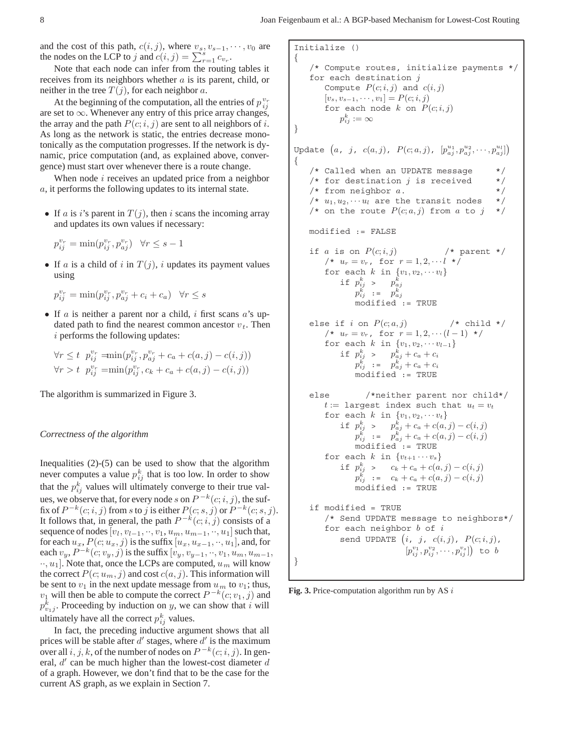and the cost of this path,  $c(i, j)$ , where  $v_s, v_{s-1}, \dots, v_0$  are the nodes on the LCP to j and  $c(i, j) = \sum_{r=1}^{s} c_{v_r}$ .

Note that each node can infer from the routing tables it receives from its neighbors whether  $\alpha$  is its parent, child, or neither in the tree  $T(j)$ , for each neighbor a.

At the beginning of the computation, all the entries of  $p_{ij}^{v_r}$ are set to  $\infty$ . Whenever any entry of this price array changes, the array and the path  $P(c; i, j)$  are sent to all neighbors of i. As long as the network is static, the entries decrease monotonically as the computation progresses. If the network is dynamic, price computation (and, as explained above, convergence) must start over whenever there is a route change.

When node  $i$  receives an updated price from a neighbor a, it performs the following updates to its internal state.

• If a is i's parent in  $T(j)$ , then i scans the incoming array and updates its own values if necessary:

$$
p_{ij}^{v_r} = \min(p_{ij}^{v_r}, p_{aj}^{v_r}) \quad \forall r \le s - 1
$$

• If a is a child of i in  $T(j)$ , i updates its payment values using

$$
p_{ij}^{v_r} = \min(p_{ij}^{v_r}, p_{aj}^{v_r} + c_i + c_a) \quad \forall r \le s
$$

• If  $a$  is neither a parent nor a child,  $i$  first scans  $a$ 's updated path to find the nearest common ancestor  $v_t$ . Then  $i$  performs the following updates:

$$
\forall r \le t \ p_{ij}^{v_r} = \min(p_{ij}^{v_r}, p_{aj}^{v_r} + c_a + c(a, j) - c(i, j))
$$
  

$$
\forall r > t \ p_{ij}^{v_r} = \min(p_{ij}^{v_r}, c_k + c_a + c(a, j) - c(i, j))
$$

The algorithm is summarized in Figure 3.

## *Correctness of the algorithm*

Inequalities  $(2)-(5)$  can be used to show that the algorithm never computes a value  $p_{ij}^k$  that is too low. In order to show that the  $p_{ij}^k$  values will ultimately converge to their true values, we observe that, for every node s on  $P^{-k}(c; i, j)$ , the suffix of  $P^{-k}(c;i,j)$  from s to j is either  $P(c;s,j)$  or  $P^{-k}(c;s,j)$ . It follows that, in general, the path  $P^{-k}(c; i, j)$  consists of a sequence of nodes  $[v_l, v_{l-1}, \dots, v_1, u_m, u_{m-1}, \dots, u_1]$  such that, for each  $u_x$ ,  $P(c; u_x, j)$  is the suffix  $[u_x, u_{x-1}, \cdot, u_1]$ , and, for each  $v_y, P^{-k}(c; v_y, j)$  is the suffix  $[v_y, v_{y-1}, \dots, v_1, u_m, u_{m-1},$  $\cdots$ ,  $u_1$ ]. Note that, once the LCPs are computed,  $u_m$  will know the correct  $P(c; u_m, j)$  and cost  $c(a, j)$ . This information will be sent to  $v_1$  in the next update message from  $u_m$  to  $v_1$ ; thus,  $v_1$  will then be able to compute the correct  $P^{-k}(c; v_1, j)$  and  $p_{v_1j}^{\overline{k}}$ . Proceeding by induction on y, we can show that i will ultimately have all the correct  $p_{ij}^k$  values.

In fact, the preceding inductive argument shows that all prices will be stable after  $d'$  stages, where  $d'$  is the maximum over all i, j, k, of the number of nodes on  $P^{-k}(c; i, j)$ . In general,  $d'$  can be much higher than the lowest-cost diameter  $d$ of a graph. However, we don't find that to be the case for the current AS graph, as we explain in Section 7.

Initialize () { /\* Compute routes, initialize payments \*/ for each destination *j* Compute  $P(c; i, j)$  and  $c(i, j)$  $[v_s, v_{s-1}, \dots, v_1] = P(c; i, j)$ for each node  $k$  on  $P(c; i, j)$  $p_{ij}^k := \infty$ } Update  $(a, j, c(a, j), P(c; a, j), [p_{a_j}^{u_1}, p_{a_j}^{u_2}, \cdots, p_{a_j}^{u_i}])$ { /\* Called when an UPDATE message \*/  $/*$  for destination  $j$  is received /\* from neighbor *a*. \*/ /\*  $u_1, u_2, \cdots u_l$  are the transit nodes \*/<br>/\* on the route  $P(c; a, j)$  from a to j \*/ /\* on the route  $P(c; a, j)$  from *a* to *j* modified := FALSE if *a* is on  $P(c; i, j)$  /\* parent \*/  $/ * u_r = v_r$ , for  $r = 1, 2, \cdots l * / l$ for each  $k$  in  $\{v_1, v_2, \cdots v_l\}$ if  $p_{ij}^k$  >  $p_{aj}^k$  $p_{ij}^{\vec{k}}$  :=  $p_{aj}^{\vec{k}}$ modified := TRUE else if *i* on  $P(c; a, j)$  /\* child \*/ /\*  $u_r = v_r$ , for  $r = 1, 2, \cdots (l-1)$  \*/ for each  $k$  in  $\{v_1, v_2, \cdots v_{l-1}\}$ if  $p_{ij}^k$  >  $p_{aj}^k + c_a + c_i$ <br>  $p_{ij}^k$  :=  $p_{aj}^k + c_a + c_i$ modified := TRUE else /\*neither parent nor child\*/  $t :=$  largest index such that  $u_t = v_t$ for each  $k$  in  $\{v_1, v_2, \cdots v_t\}$ if  $p_{ij}^k$  >  $p_{aj}^k$  +  $c_a$  +  $c(a, j)$  -  $c(i, j)$ <br>  $p_{ij}^k$  :=  $p_{aj}^k$  +  $c_a$  +  $c(a, j)$  -  $c(i, j)$ <br>
modified := TRUE for each  $k$  in  $\{v_{t+1} \cdots v_s\}$ if  $p_{ij}^k$  >  $c_k + c_a + c(a, j) - c(i, j)$  $p_{ij}^k$  :=  $c_k + c_a + c(a,j) - c(i,j)$ modified := TRUE if modified = TRUE /\* Send UPDATE message to neighbors\*/ for each neighbor *b* of *i* send UPDATE  $(i, j, c(i, j), P(c; i, j)$ ,  $[p_{ij}^{v_1}, p_{ij}^{v_2}, \cdots, p_{ij}^{v_s}]\big)$  to *b* }

**Fig. 3.** Price-computation algorithm run by AS *i*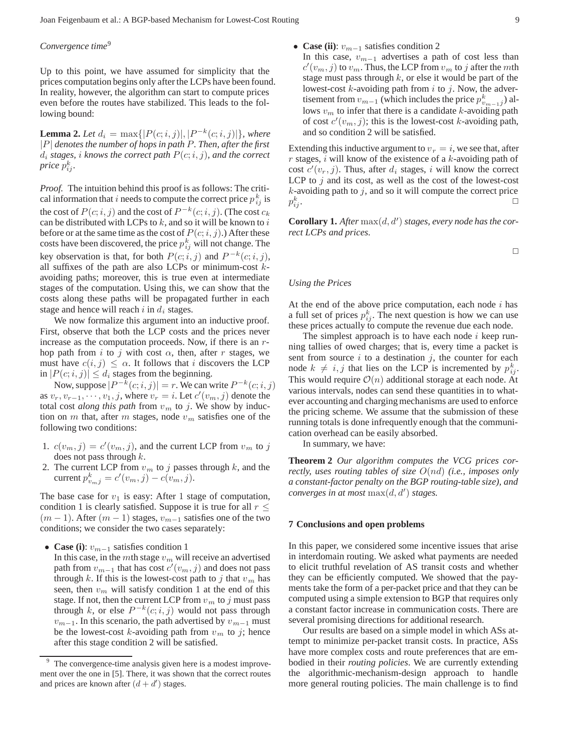# *Convergence time*<sup>9</sup>

Up to this point, we have assumed for simplicity that the prices computation begins only after the LCPs have been found. In reality, however, the algorithm can start to compute prices even before the routes have stabilized. This leads to the following bound:

**Lemma 2.** *Let*  $d_i = \max\{|P(c; i, j)|, |P^{-k}(c; i, j)|\}$ *, where* <sup>|</sup>P<sup>|</sup> *denotes the number of hops in path* <sup>P</sup>*. Then, after the first*  $d_i$  *stages, i knows the correct path*  $P(c; i, j)$ *, and the correct price*  $p_{ij}^k$ .

*Proof.* The intuition behind this proof is as follows: The critical information that i needs to compute the correct price  $p_{ij}^k$  is the cost of  $P(c; i, j)$  and the cost of  $P^{-k}(c; i, j)$ . (The cost  $c_k$ can be distributed with LCPs to  $k$ , and so it will be known to  $i$ before or at the same time as the cost of  $P(c; i, j)$ .) After these costs have been discovered, the price  $p_{ij}^k$  will not change. The key observation is that, for both  $P(c; i, j)$  and  $P^{-k}(c; i, j)$ , all suffixes of the path are also LCPs or minimum-cost  $k$ avoiding paths; moreover, this is true even at intermediate stages of the computation. Using this, we can show that the costs along these paths will be propagated further in each stage and hence will reach i in  $d_i$  stages.

We now formalize this argument into an inductive proof. First, observe that both the LCP costs and the prices never increase as the computation proceeds. Now, if there is an rhop path from i to j with cost  $\alpha$ , then, after r stages, we must have  $c(i, j) \leq \alpha$ . It follows that i discovers the LCP in  $|P(c; i, j)| \leq d_i$  stages from the beginning.

Now, suppose  $|P^{-k}(c;i,j)| = r$ . We can write  $P^{-k}(c;i,j)$ as  $v_r, v_{r-1}, \dots, v_1, j$ , where  $v_r = i$ . Let  $c'(v_m, j)$  denote the total cost *along this path* from  $v_m$  to j. We show by induction on m that, after m stages, node  $v_m$  satisfies one of the following two conditions:

- 1.  $c(v_m, j) = c'(v_m, j)$ , and the current LCP from  $v_m$  to j does not pass through  $k$ .
- 2. The current LCP from  $v_m$  to j passes through k, and the current  $p_{v_{m}j}^{k} = c'(v_{m}, j) - c(v_{m}, j).$

The base case for  $v_1$  is easy: After 1 stage of computation, condition 1 is clearly satisfied. Suppose it is true for all  $r \leq$  $(m-1)$ . After  $(m-1)$  stages,  $v_{m-1}$  satisfies one of the two conditions; we consider the two cases separately:

• **Case (i)**:  $v_{m-1}$  satisfies condition 1

In this case, in the mth stage  $v_m$  will receive an advertised path from  $v_{m-1}$  that has cost  $c'(v_m, j)$  and does not pass through k. If this is the lowest-cost path to j that  $v_m$  has seen, then  $v_m$  will satisfy condition 1 at the end of this stage. If not, then the current LCP from  $v_m$  to j must pass through k, or else  $P^{-k}(c;i,j)$  would not pass through  $v_{m-1}$ . In this scenario, the path advertised by  $v_{m-1}$  must be the lowest-cost  $k$ -avoiding path from  $v_m$  to j; hence after this stage condition 2 will be satisfied.

- **Case (ii)**:  $v_{m-1}$  satisfies condition 2
- In this case,  $v_{m-1}$  advertises a path of cost less than  $c'(v_m, j)$  to  $v_m$ . Thus, the LCP from  $v_m$  to j after the mth stage must pass through  $k$ , or else it would be part of the lowest-cost  $k$ -avoiding path from  $i$  to  $j$ . Now, the advertisement from  $v_{m-1}$  (which includes the price  $p_{v_{m-1}j}^k$ ) allows  $v_m$  to infer that there is a candidate k-avoiding path of cost  $c'(v_m, j)$ ; this is the lowest-cost k-avoiding path, and so condition 2 will be satisfied.

Extending this inductive argument to  $v_r = i$ , we see that, after  $r$  stages, i will know of the existence of a  $k$ -avoiding path of cost  $c'(v_r, j)$ . Thus, after  $d_i$  stages, i will know the correct LCP to  $j$  and its cost, as well as the cost of the lowest-cost  $k$ -avoiding path to  $j$ , and so it will compute the correct price  $p_{ij}^k$ .  $\frac{k}{ij}$ .

**Corollary 1.** *After* max(d, d ) *stages, every node has the correct LCPs and prices.*

 $\Box$ 

## *Using the Prices*

At the end of the above price computation, each node  $i$  has a full set of prices  $p_{ij}^k$ . The next question is how we can use these prices actually to compute the revenue due each node.

The simplest approach is to have each node  $i$  keep running tallies of owed charges; that is, every time a packet is sent from source  $i$  to a destination  $j$ , the counter for each node  $k \neq i, j$  that lies on the LCP is incremented by  $p_{ij}^k$ . This would require  $\mathcal{O}(n)$  additional storage at each node. At various intervals, nodes can send these quantities in to whatever accounting and charging mechanisms are used to enforce the pricing scheme. We assume that the submission of these running totals is done infrequently enough that the communication overhead can be easily absorbed.

In summary, we have:

**Theorem 2** *Our algorithm computes the VCG prices correctly, uses routing tables of size* O(nd) *(i.e., imposes only a constant-factor penalty on the BGP routing-table size), and converges in at most* max(d, d ) *stages.*

#### **7 Conclusions and open problems**

In this paper, we considered some incentive issues that arise in interdomain routing. We asked what payments are needed to elicit truthful revelation of AS transit costs and whether they can be efficiently computed. We showed that the payments take the form of a per-packet price and that they can be computed using a simple extension to BGP that requires only a constant factor increase in communication costs. There are several promising directions for additional research.

Our results are based on a simple model in which ASs attempt to minimize per-packet transit costs. In practice, ASs have more complex costs and route preferences that are embodied in their *routing policies*. We are currently extending the algorithmic-mechanism-design approach to handle more general routing policies. The main challenge is to find

<sup>&</sup>lt;sup>9</sup> The convergence-time analysis given here is a modest improvement over the one in [5]. There, it was shown that the correct routes and prices are known after  $(d + d')$  stages.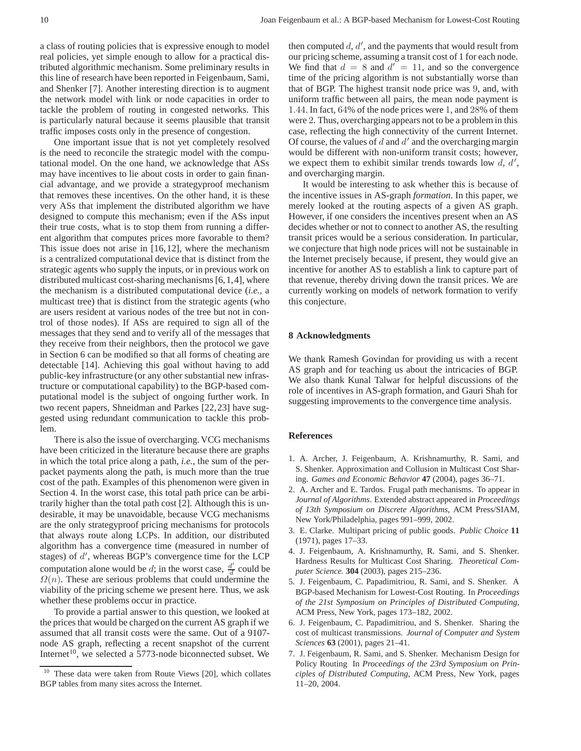a class of routing policies that is expressive enough to model real policies, yet simple enough to allow for a practical distributed algorithmic mechanism. Some preliminary results in this line of research have been reported in Feigenbaum, Sami, and Shenker [7]. Another interesting direction is to augment the network model with link or node capacities in order to tackle the problem of routing in congested networks. This is particularly natural because it seems plausible that transit traffic imposes costs only in the presence of congestion.

One important issue that is not yet completely resolved is the need to reconcile the strategic model with the computational model. On the one hand, we acknowledge that ASs may have incentives to lie about costs in order to gain financial advantage, and we provide a strategyproof mechanism that removes these incentives. On the other hand, it is these very ASs that implement the distributed algorithm we have designed to compute this mechanism; even if the ASs input their true costs, what is to stop them from running a different algorithm that computes prices more favorable to them? This issue does not arise in [16,12], where the mechanism is a centralized computational device that is distinct from the strategic agents who supply the inputs, or in previous work on distributed multicast cost-sharing mechanisms [6,1,4], where the mechanism is a distributed computational device (*i.e.*, a multicast tree) that is distinct from the strategic agents (who are users resident at various nodes of the tree but not in control of those nodes). If ASs are required to sign all of the messages that they send and to verify all of the messages that they receive from their neighbors, then the protocol we gave in Section 6 can be modified so that all forms of cheating are detectable [14]. Achieving this goal without having to add public-key infrastructure (or any other substantial new infrastructure or computational capability) to the BGP-based computational model is the subject of ongoing further work. In two recent papers, Shneidman and Parkes [22,23] have suggested using redundant communication to tackle this problem.

There is also the issue of overcharging. VCG mechanisms have been criticized in the literature because there are graphs in which the total price along a path, *i.e.*, the sum of the perpacket payments along the path, is much more than the true cost of the path. Examples of this phenomenon were given in Section 4. In the worst case, this total path price can be arbitrarily higher than the total path cost [2]. Although this is undesirable, it may be unavoidable, because VCG mechanisms are the only strategyproof pricing mechanisms for protocols that always route along LCPs. In addition, our distributed algorithm has a convergence time (measured in number of stages) of  $d'$ , whereas BGP's convergence time for the LCP computation alone would be d; in the worst case,  $\frac{d'}{d}$  could be  $\Omega(n)$ . These are serious problems that could undermine the viability of the pricing scheme we present here. Thus, we ask whether these problems occur in practice.

To provide a partial answer to this question, we looked at the prices that would be charged on the current AS graph if we assumed that all transit costs were the same. Out of a 9107 node AS graph, reflecting a recent snapshot of the current Internet<sup>10</sup>, we selected a 5773-node biconnected subset. We

then computed  $d$ ,  $d'$ , and the payments that would result from our pricing scheme, assuming a transit cost of 1 for each node. We find that  $d = 8$  and  $d' = 11$ , and so the convergence time of the pricing algorithm is not substantially worse than that of BGP. The highest transit node price was 9, and, with uniform traffic between all pairs, the mean node payment is 1.44. In fact, 64% of the node prices were 1, and 28% of them were 2. Thus, overcharging appears not to be a problem in this case, reflecting the high connectivity of the current Internet. Of course, the values of d and  $d'$  and the overcharging margin would be different with non-uniform transit costs; however, we expect them to exhibit similar trends towards low  $d, d',$ and overcharging margin.

It would be interesting to ask whether this is because of the incentive issues in AS-graph *formation*. In this paper, we merely looked at the routing aspects of a given AS graph. However, if one considers the incentives present when an AS decides whether or not to connect to another AS, the resulting transit prices would be a serious consideration. In particular, we conjecture that high node prices will not be sustainable in the Internet precisely because, if present, they would give an incentive for another AS to establish a link to capture part of that revenue, thereby driving down the transit prices. We are currently working on models of network formation to verify this conjecture.

## **8 Acknowledgments**

We thank Ramesh Govindan for providing us with a recent AS graph and for teaching us about the intricacies of BGP. We also thank Kunal Talwar for helpful discussions of the role of incentives in AS-graph formation, and Gauri Shah for suggesting improvements to the convergence time analysis.

# **References**

- 1. A. Archer, J. Feigenbaum, A. Krishnamurthy, R. Sami, and S. Shenker. Approximation and Collusion in Multicast Cost Sharing. *Games and Economic Behavior* **47** (2004), pages 36–71.
- 2. A. Archer and E. Tardos. Frugal path mechanisms. To appear in *Journal of Algorithms*. Extended abstract appeared in *Proceedings of 13th Symposium on Discrete Algorithms*, ACM Press/SIAM, New York/Philadelphia, pages 991–999, 2002.
- 3. E. Clarke. Multipart pricing of public goods. *Public Choice* **11** (1971), pages 17–33.
- 4. J. Feigenbaum, A. Krishnamurthy, R. Sami, and S. Shenker. Hardness Results for Multicast Cost Sharing. *Theoretical Computer Science.* **304** (2003), pages 215–236.
- 5. J. Feigenbaum, C. Papadimitriou, R. Sami, and S. Shenker. A BGP-based Mechanism for Lowest-Cost Routing. In *Proceedings of the 21st Symposium on Principles of Distributed Computing*, ACM Press, New York, pages 173–182, 2002.
- 6. J. Feigenbaum, C. Papadimitriou, and S. Shenker. Sharing the cost of multicast transmissions. *Journal of Computer and System Sciences* **63** (2001), pages 21–41.
- 7. J. Feigenbaum, R. Sami, and S. Shenker. Mechanism Design for Policy Routing In *Proceedings of the 23rd Symposium on Principles of Distributed Computing*, ACM Press, New York, pages 11–20, 2004.

 $10$  These data were taken from Route Views [20], which collates BGP tables from many sites across the Internet.